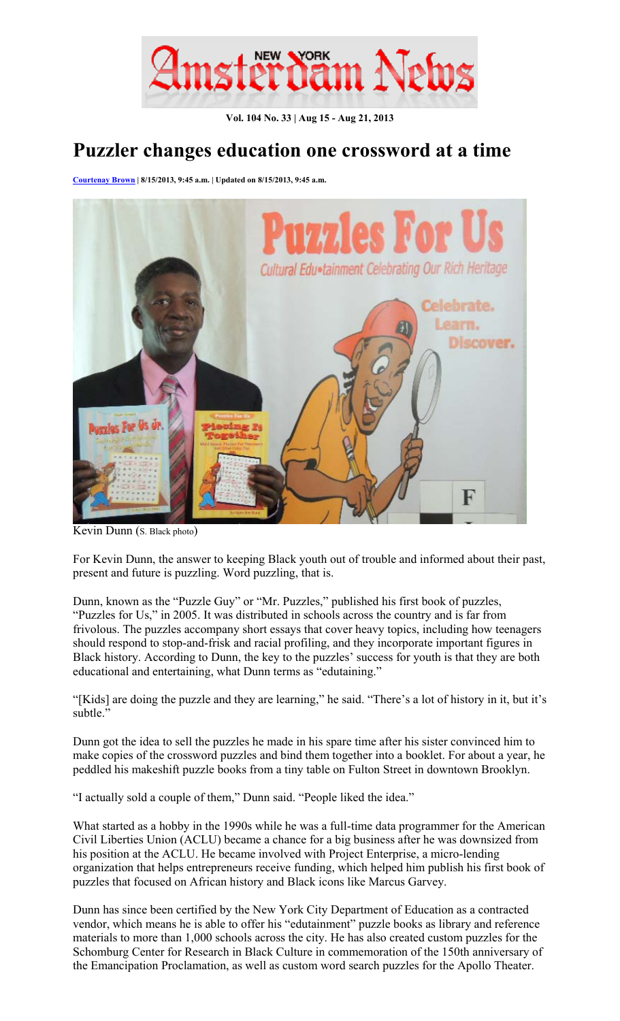

**Vol. 104 No. 33 | Aug 15 - Aug 21, 2013** 

## **Puzzler changes education one crossword at a time**

**Courtenay Brown | 8/15/2013, 9:45 a.m. | Updated on 8/15/2013, 9:45 a.m.** 



Kevin Dunn (S. Black photo)

For Kevin Dunn, the answer to keeping Black youth out of trouble and informed about their past, present and future is puzzling. Word puzzling, that is.

Dunn, known as the "Puzzle Guy" or "Mr. Puzzles," published his first book of puzzles, "Puzzles for Us," in 2005. It was distributed in schools across the country and is far from frivolous. The puzzles accompany short essays that cover heavy topics, including how teenagers should respond to stop-and-frisk and racial profiling, and they incorporate important figures in Black history. According to Dunn, the key to the puzzles' success for youth is that they are both educational and entertaining, what Dunn terms as "edutaining."

"[Kids] are doing the puzzle and they are learning," he said. "There's a lot of history in it, but it's subtle."

Dunn got the idea to sell the puzzles he made in his spare time after his sister convinced him to make copies of the crossword puzzles and bind them together into a booklet. For about a year, he peddled his makeshift puzzle books from a tiny table on Fulton Street in downtown Brooklyn.

"I actually sold a couple of them," Dunn said. "People liked the idea."

What started as a hobby in the 1990s while he was a full-time data programmer for the American Civil Liberties Union (ACLU) became a chance for a big business after he was downsized from his position at the ACLU. He became involved with Project Enterprise, a micro-lending organization that helps entrepreneurs receive funding, which helped him publish his first book of puzzles that focused on African history and Black icons like Marcus Garvey.

Dunn has since been certified by the New York City Department of Education as a contracted vendor, which means he is able to offer his "edutainment" puzzle books as library and reference materials to more than 1,000 schools across the city. He has also created custom puzzles for the Schomburg Center for Research in Black Culture in commemoration of the 150th anniversary of the Emancipation Proclamation, as well as custom word search puzzles for the Apollo Theater.